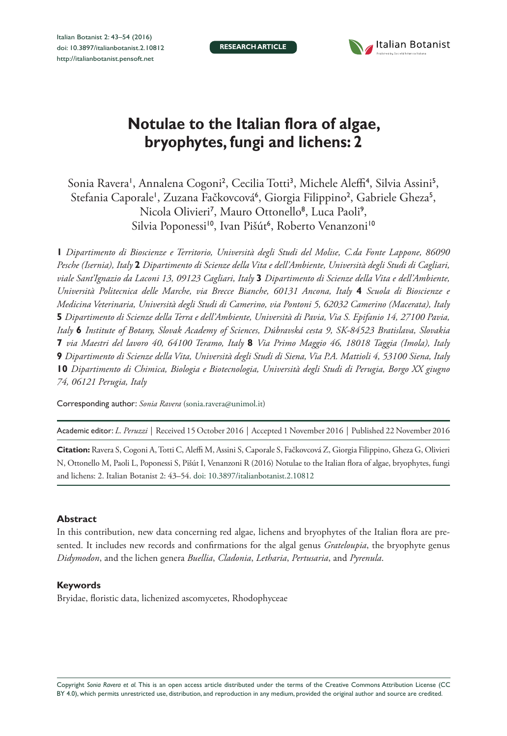**RESEARCH ARTICLE**



# **Notulae to the Italian flora of algae, bryophytes, fungi and lichens: 2**

Sonia Ravera', Annalena Cogoni<sup>2</sup>, Cecilia Totti<sup>3</sup>, Michele Aleffi<sup>4</sup>, Silvia Assini<sup>5</sup>, Stefania Caporale', Zuzana Fačkovcová', Giorgia Filippino<sup>2</sup>, Gabriele Gheza<sup>5</sup>, Nicola Olivieri<sup>7</sup>, Mauro Ottonello<sup>8</sup>, Luca Paoli<sup>9</sup>, Silvia Poponessi<sup>10</sup>, Ivan Pišút<sup>6</sup>, Roberto Venanzoni<sup>10</sup>

**1** *Dipartimento di Bioscienze e Territorio, Università degli Studi del Molise, C.da Fonte Lappone, 86090 Pesche (Isernia), Italy* **2** *Dipartimento di Scienze della Vita e dell'Ambiente, Università degli Studi di Cagliari, viale Sant'Ignazio da Laconi 13, 09123 Cagliari, Italy* **3** *Dipartimento di Scienze della Vita e dell'Ambiente, Università Politecnica delle Marche, via Brecce Bianche, 60131 Ancona, Italy* **4** *Scuola di Bioscienze e Medicina Veterinaria, Università degli Studi di Camerino, via Pontoni 5, 62032 Camerino (Macerata), Italy*  **5** *Dipartimento di Scienze della Terra e dell'Ambiente, Università di Pavia, Via S. Epifanio 14, 27100 Pavia, Italy* **6** *Institute of Botany, Slovak Academy of Sciences, Dúbravská cesta 9, SK-84523 Bratislava, Slovakia*  **7** *via Maestri del lavoro 40, 64100 Teramo, Italy* **8** *Via Primo Maggio 46, 18018 Taggia (Imola), Italy*  **9** *Dipartimento di Scienze della Vita, Università degli Studi di Siena, Via P.A. Mattioli 4, 53100 Siena, Italy*  **10** *Dipartimento di Chimica, Biologia e Biotecnologia, Università degli Studi di Perugia, Borgo XX giugno 74, 06121 Perugia, Italy*

Corresponding author: *Sonia Ravera* ([sonia.ravera@unimol.it](mailto:sonia.ravera@unimol.it))

Academic editor: *L. Peruzzi* | Received 15 October 2016 | Accepted 1 November 2016 | Published 22 November 2016

**Citation:** Ravera S, Cogoni A, Totti C, Aleffi M, Assini S, Caporale S, Fačkovcová Z, Giorgia Filippino, Gheza G, Olivieri N, Ottonello M, Paoli L, Poponessi S, Pišút I, Venanzoni R (2016) Notulae to the Italian flora of algae, bryophytes, fungi and lichens: 2. Italian Botanist 2: 43–54. [doi: 10.3897/italianbotanist.2.10812](https://doi.org/10.3897/italianbotanist.2.10812)

#### **Abstract**

In this contribution, new data concerning red algae, lichens and bryophytes of the Italian flora are presented. It includes new records and confirmations for the algal genus *Grateloupia*, the bryophyte genus *Didymodon*, and the lichen genera *Buellia*, *Cladonia*, *Letharia*, *Pertusaria*, and *Pyrenula*.

#### **Keywords**

Bryidae, floristic data, lichenized ascomycetes, Rhodophyceae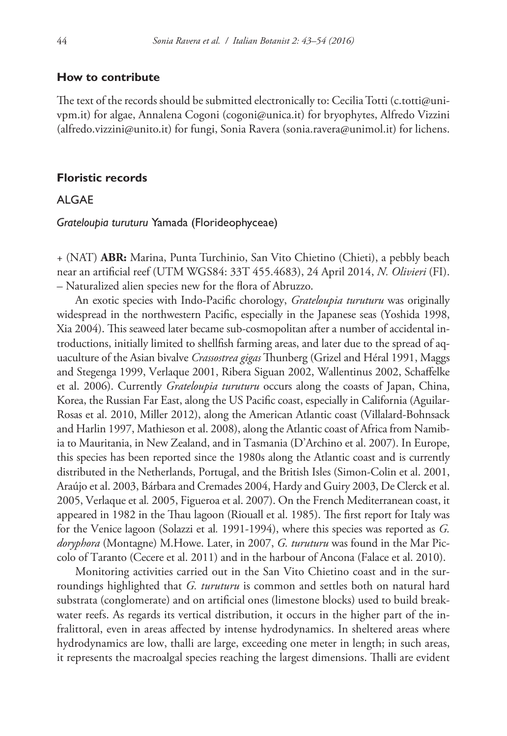### **How to contribute**

The text of the records should be submitted electronically to: Cecilia Totti ([c.totti@uni](mailto:c.totti@univpm.it)[vpm.it](mailto:c.totti@univpm.it)) for algae, Annalena Cogoni ([cogoni@unica.it\)](mailto:cogoni@unica.it) for bryophytes, Alfredo Vizzini ([alfredo.vizzini@unito.it](mailto:alfredo.vizzini@unito.it)) for fungi, Sonia Ravera [\(sonia.ravera@unimol.it\)](mailto:sonia.ravera@unimol.it) for lichens.

#### **Floristic records**

# ALGAE

*Grateloupia turuturu* Yamada (Florideophyceae)

+ (NAT) **ABR:** Marina, Punta Turchinio, San Vito Chietino (Chieti), a pebbly beach near an artificial reef (UTM WGS84: 33T 455.4683), 24 April 2014, *N. Olivieri* (FI). – Naturalized alien species new for the flora of Abruzzo.

An exotic species with Indo-Pacific chorology, *Grateloupia turuturu* was originally widespread in the northwestern Pacific, especially in the Japanese seas (Yoshida 1998, Xia 2004). This seaweed later became sub-cosmopolitan after a number of accidental introductions, initially limited to shellfish farming areas, and later due to the spread of aquaculture of the Asian bivalve *Crassostrea gigas* Thunberg (Grizel and Héral 1991, Maggs and Stegenga 1999, Verlaque 2001, Ribera Siguan 2002, Wallentinus 2002, Schaffelke et al. 2006). Currently *Grateloupia turuturu* occurs along the coasts of Japan, China, Korea, the Russian Far East, along the US Pacific coast, especially in California (Aguilar-Rosas et al. 2010, Miller 2012), along the American Atlantic coast (Villalard-Bohnsack and Harlin 1997, Mathieson et al. 2008), along the Atlantic coast of Africa from Namibia to Mauritania, in New Zealand, and in Tasmania (D'Archino et al. 2007). In Europe, this species has been reported since the 1980s along the Atlantic coast and is currently distributed in the Netherlands, Portugal, and the British Isles (Simon-Colin et al. 2001, Araújo et al. 2003, Bárbara and Cremades 2004, Hardy and Guiry 2003, De Clerck et al. 2005, Verlaque et al*.* 2005, Figueroa et al. 2007). On the French Mediterranean coast, it appeared in 1982 in the Thau lagoon (Riouall et al. 1985). The first report for Italy was for the Venice lagoon (Solazzi et al*.* 1991-1994), where this species was reported as *G. doryphora* (Montagne) M.Howe. Later, in 2007, *G. turuturu* was found in the Mar Piccolo of Taranto (Cecere et al. 2011) and in the harbour of Ancona (Falace et al. 2010).

Monitoring activities carried out in the San Vito Chietino coast and in the surroundings highlighted that *G. turuturu* is common and settles both on natural hard substrata (conglomerate) and on artificial ones (limestone blocks) used to build breakwater reefs. As regards its vertical distribution, it occurs in the higher part of the infralittoral, even in areas affected by intense hydrodynamics. In sheltered areas where hydrodynamics are low, thalli are large, exceeding one meter in length; in such areas, it represents the macroalgal species reaching the largest dimensions. Thalli are evident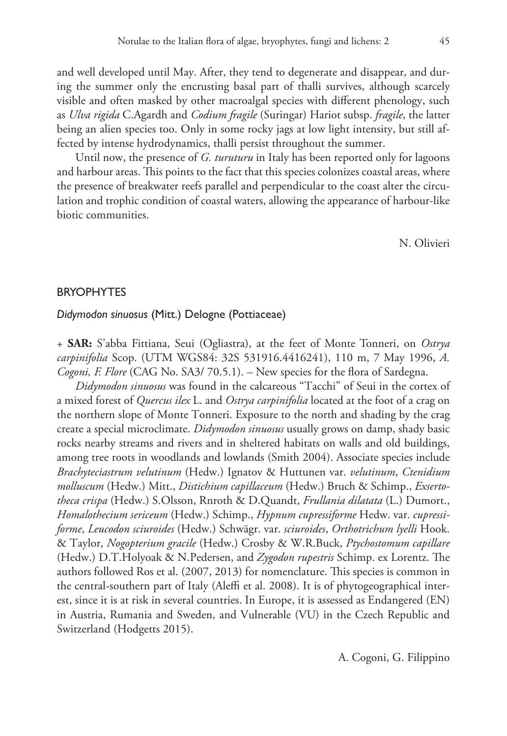and well developed until May. After, they tend to degenerate and disappear, and during the summer only the encrusting basal part of thalli survives, although scarcely visible and often masked by other macroalgal species with different phenology, such as *Ulva rigida* C.Agardh and *Codium fragile* (Suringar) Hariot subsp. *fragile*, the latter being an alien species too. Only in some rocky jags at low light intensity, but still affected by intense hydrodynamics, thalli persist throughout the summer.

Until now, the presence of *G. turuturu* in Italy has been reported only for lagoons and harbour areas. This points to the fact that this species colonizes coastal areas, where the presence of breakwater reefs parallel and perpendicular to the coast alter the circulation and trophic condition of coastal waters, allowing the appearance of harbour-like biotic communities.

N. Olivieri

#### BRYOPHYTES

#### *Didymodon sinuosus* (Mitt.) Delogne (Pottiaceae)

+ **SAR:** S'abba Fittiana, Seui (Ogliastra), at the feet of Monte Tonneri, on *Ostrya carpinifolia* Scop. (UTM WGS84: 32S 531916.4416241), 110 m, 7 May 1996, *A. Cogoni, F. Flore* (CAG No. SA3/ 70.5.1). – New species for the flora of Sardegna.

*Didymodon sinuosus* was found in the calcareous "Tacchi" of Seui in the cortex of a mixed forest of *Quercus ilex* L. and *Ostrya carpinifolia* located at the foot of a crag on the northern slope of Monte Tonneri. Exposure to the north and shading by the crag create a special microclimate. *Didymodon sinuosus* usually grows on damp, shady basic rocks nearby streams and rivers and in sheltered habitats on walls and old buildings, among tree roots in woodlands and lowlands (Smith 2004). Associate species include *Brachyteciastrum velutinum* (Hedw.) Ignatov & Huttunen var. *velutinum*, *Ctenidium molluscum* (Hedw.) Mitt., *Distichium capillaceum* (Hedw.) Bruch & Schimp., *Exsertotheca crispa* (Hedw.) S.Olsson, Rnroth & D.Quandt, *Frullania dilatata* (L.) Dumort., *Homalothecium sericeum* (Hedw.) Schimp., *Hypnum cupressiforme* Hedw. var. *cupressiforme*, *Leucodon sciuroides* (Hedw.) Schwägr. var. *sciuroides*, *Orthotrichum lyelli* Hook. & Taylor, *Nogopterium gracile* (Hedw.) Crosby & W.R.Buck, *Ptychostomum capillare* (Hedw.) D.T.Holyoak & N.Pedersen, and *Zygodon rupestris* Schimp. ex Lorentz. The authors followed Ros et al. (2007, 2013) for nomenclature. This species is common in the central-southern part of Italy (Aleffi et al. 2008). It is of phytogeographical interest, since it is at risk in several countries. In Europe, it is assessed as Endangered (EN) in Austria, Rumania and Sweden, and Vulnerable (VU) in the Czech Republic and Switzerland (Hodgetts 2015).

A. Cogoni, G. Filippino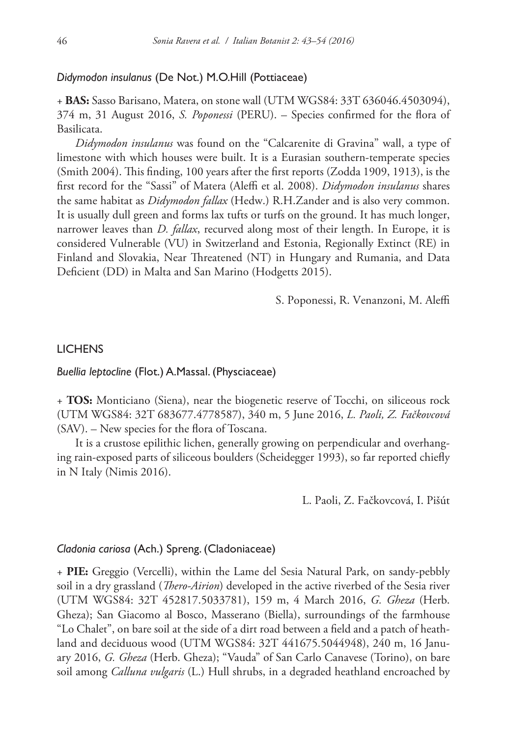#### *Didymodon insulanus* (De Not.) M.O.Hill (Pottiaceae)

+ **BAS:** Sasso Barisano, Matera, on stone wall (UTM WGS84: 33T 636046.4503094), 374 m, 31 August 2016, *S. Poponessi* (PERU). – Species confirmed for the flora of Basilicata.

*Didymodon insulanus* was found on the "Calcarenite di Gravina" wall, a type of limestone with which houses were built. It is a Eurasian southern-temperate species (Smith 2004). This finding, 100 years after the first reports (Zodda 1909, 1913), is the first record for the "Sassi" of Matera (Aleffi et al. 2008). *Didymodon insulanus* shares the same habitat as *Didymodon fallax* (Hedw.) R.H.Zander and is also very common. It is usually dull green and forms lax tufts or turfs on the ground. It has much longer, narrower leaves than *D. fallax*, recurved along most of their length. In Europe, it is considered Vulnerable (VU) in Switzerland and Estonia, Regionally Extinct (RE) in Finland and Slovakia, Near Threatened (NT) in Hungary and Rumania, and Data Deficient (DD) in Malta and San Marino (Hodgetts 2015).

S. Poponessi, R. Venanzoni, M. Aleffi

#### **LICHENS**

#### *Buellia leptocline* (Flot.) A.Massal. (Physciaceae)

+ **TOS:** Monticiano (Siena), near the biogenetic reserve of Tocchi, on siliceous rock (UTM WGS84: 32T 683677.4778587), 340 m, 5 June 2016, *L. Paoli, Z. Fačkovcová*  (SAV). – New species for the flora of Toscana.

It is a crustose epilithic lichen, generally growing on perpendicular and overhanging rain-exposed parts of siliceous boulders (Scheidegger 1993), so far reported chiefly in N Italy (Nimis 2016).

L. Paoli, Z. Fačkovcová, I. Pišút

#### *Cladonia cariosa* (Ach.) Spreng. (Cladoniaceae)

+ **PIE:** Greggio (Vercelli), within the Lame del Sesia Natural Park, on sandy-pebbly soil in a dry grassland (*Thero-Airion*) developed in the active riverbed of the Sesia river (UTM WGS84: 32T 452817.5033781), 159 m, 4 March 2016, *G. Gheza* (Herb. Gheza); San Giacomo al Bosco, Masserano (Biella), surroundings of the farmhouse "Lo Chalet", on bare soil at the side of a dirt road between a field and a patch of heathland and deciduous wood (UTM WGS84: 32T 441675.5044948), 240 m, 16 January 2016, *G. Gheza* (Herb. Gheza); "Vauda" of San Carlo Canavese (Torino), on bare soil among *Calluna vulgaris* (L.) Hull shrubs, in a degraded heathland encroached by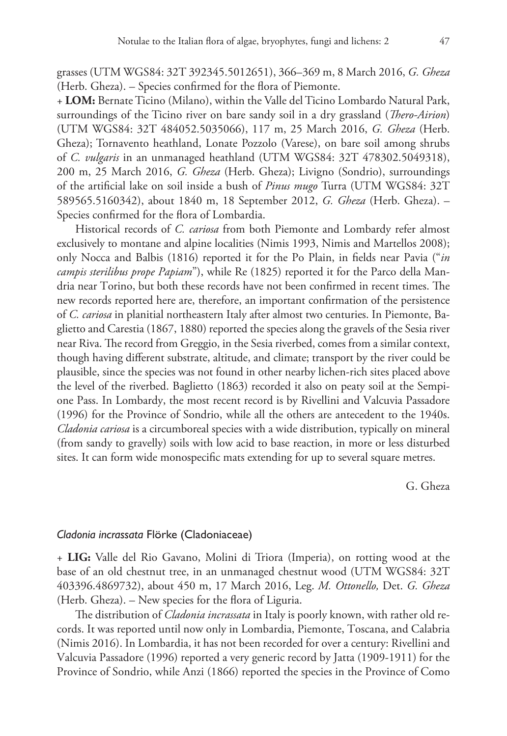grasses (UTM WGS84: 32T 392345.5012651), 366–369 m, 8 March 2016, *G. Gheza*  (Herb. Gheza). – Species confirmed for the flora of Piemonte.

+ **LOM:** Bernate Ticino (Milano), within the Valle del Ticino Lombardo Natural Park, surroundings of the Ticino river on bare sandy soil in a dry grassland (*Thero-Airion*) (UTM WGS84: 32T 484052.5035066), 117 m, 25 March 2016, *G. Gheza* (Herb. Gheza); Tornavento heathland, Lonate Pozzolo (Varese), on bare soil among shrubs of *C. vulgaris* in an unmanaged heathland (UTM WGS84: 32T 478302.5049318), 200 m, 25 March 2016, *G. Gheza* (Herb. Gheza); Livigno (Sondrio), surroundings of the artificial lake on soil inside a bush of *Pinus mugo* Turra (UTM WGS84: 32T 589565.5160342), about 1840 m, 18 September 2012, *G. Gheza* (Herb. Gheza). – Species confirmed for the flora of Lombardia.

Historical records of *C. cariosa* from both Piemonte and Lombardy refer almost exclusively to montane and alpine localities (Nimis 1993, Nimis and Martellos 2008); only Nocca and Balbis (1816) reported it for the Po Plain, in fields near Pavia ("*in campis sterilibus prope Papiam*"), while Re (1825) reported it for the Parco della Mandria near Torino, but both these records have not been confirmed in recent times. The new records reported here are, therefore, an important confirmation of the persistence of *C. cariosa* in planitial northeastern Italy after almost two centuries. In Piemonte, Baglietto and Carestia (1867, 1880) reported the species along the gravels of the Sesia river near Riva. The record from Greggio, in the Sesia riverbed, comes from a similar context, though having different substrate, altitude, and climate; transport by the river could be plausible, since the species was not found in other nearby lichen-rich sites placed above the level of the riverbed. Baglietto (1863) recorded it also on peaty soil at the Sempione Pass. In Lombardy, the most recent record is by Rivellini and Valcuvia Passadore (1996) for the Province of Sondrio, while all the others are antecedent to the 1940s. *Cladonia cariosa* is a circumboreal species with a wide distribution, typically on mineral (from sandy to gravelly) soils with low acid to base reaction, in more or less disturbed sites. It can form wide monospecific mats extending for up to several square metres.

G. Gheza

#### *Cladonia incrassata* Flörke (Cladoniaceae)

+ **LIG:** Valle del Rio Gavano, Molini di Triora (Imperia), on rotting wood at the base of an old chestnut tree, in an unmanaged chestnut wood (UTM WGS84: 32T 403396.4869732), about 450 m, 17 March 2016, Leg. *M. Ottonello,* Det. *G. Gheza* (Herb. Gheza). – New species for the flora of Liguria.

The distribution of *Cladonia incrassata* in Italy is poorly known, with rather old records. It was reported until now only in Lombardia, Piemonte, Toscana, and Calabria (Nimis 2016). In Lombardia, it has not been recorded for over a century: Rivellini and Valcuvia Passadore (1996) reported a very generic record by Jatta (1909-1911) for the Province of Sondrio, while Anzi (1866) reported the species in the Province of Como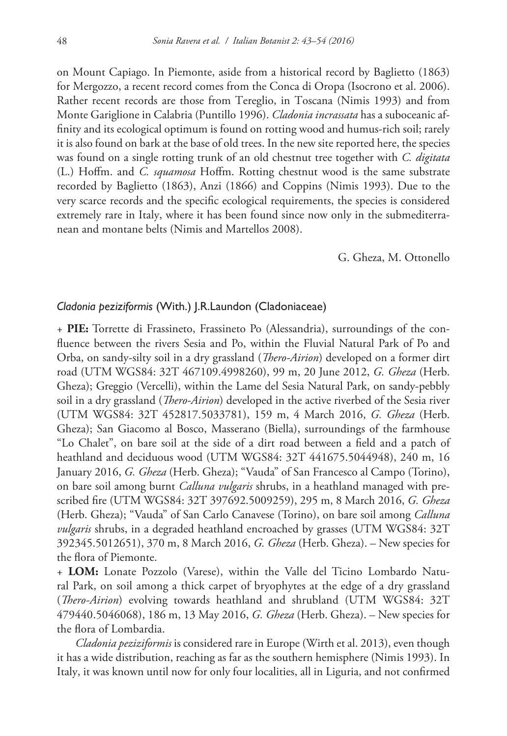on Mount Capiago. In Piemonte, aside from a historical record by Baglietto (1863) for Mergozzo, a recent record comes from the Conca di Oropa (Isocrono et al. 2006). Rather recent records are those from Tereglio, in Toscana (Nimis 1993) and from Monte Gariglione in Calabria (Puntillo 1996). *Cladonia incrassata* has a suboceanic affinity and its ecological optimum is found on rotting wood and humus-rich soil; rarely it is also found on bark at the base of old trees. In the new site reported here, the species was found on a single rotting trunk of an old chestnut tree together with *C. digitata* (L.) Hoffm. and *C. squamosa* Hoffm. Rotting chestnut wood is the same substrate recorded by Baglietto (1863), Anzi (1866) and Coppins (Nimis 1993). Due to the very scarce records and the specific ecological requirements, the species is considered extremely rare in Italy, where it has been found since now only in the submediterranean and montane belts (Nimis and Martellos 2008).

#### G. Gheza, M. Ottonello

#### *Cladonia peziziformis* (With.) J.R.Laundon (Cladoniaceae)

+ **PIE:** Torrette di Frassineto, Frassineto Po (Alessandria), surroundings of the confluence between the rivers Sesia and Po, within the Fluvial Natural Park of Po and Orba, on sandy-silty soil in a dry grassland (*Thero-Airion*) developed on a former dirt road (UTM WGS84: 32T 467109.4998260), 99 m, 20 June 2012, *G. Gheza* (Herb. Gheza); Greggio (Vercelli), within the Lame del Sesia Natural Park, on sandy-pebbly soil in a dry grassland (*Thero-Airion*) developed in the active riverbed of the Sesia river (UTM WGS84: 32T 452817.5033781), 159 m, 4 March 2016, *G. Gheza* (Herb. Gheza); San Giacomo al Bosco, Masserano (Biella), surroundings of the farmhouse "Lo Chalet", on bare soil at the side of a dirt road between a field and a patch of heathland and deciduous wood (UTM WGS84: 32T 441675.5044948), 240 m, 16 January 2016, *G. Gheza* (Herb. Gheza); "Vauda" of San Francesco al Campo (Torino), on bare soil among burnt *Calluna vulgaris* shrubs, in a heathland managed with prescribed fire (UTM WGS84: 32T 397692.5009259), 295 m, 8 March 2016, *G. Gheza*  (Herb. Gheza); "Vauda" of San Carlo Canavese (Torino), on bare soil among *Calluna vulgaris* shrubs, in a degraded heathland encroached by grasses (UTM WGS84: 32T 392345.5012651), 370 m, 8 March 2016, *G. Gheza* (Herb. Gheza). – New species for the flora of Piemonte.

+ **LOM:** Lonate Pozzolo (Varese), within the Valle del Ticino Lombardo Natural Park, on soil among a thick carpet of bryophytes at the edge of a dry grassland (*Thero-Airion*) evolving towards heathland and shrubland (UTM WGS84: 32T 479440.5046068), 186 m, 13 May 2016, *G. Gheza* (Herb. Gheza). – New species for the flora of Lombardia.

*Cladonia peziziformis* is considered rare in Europe (Wirth et al. 2013), even though it has a wide distribution, reaching as far as the southern hemisphere (Nimis 1993). In Italy, it was known until now for only four localities, all in Liguria, and not confirmed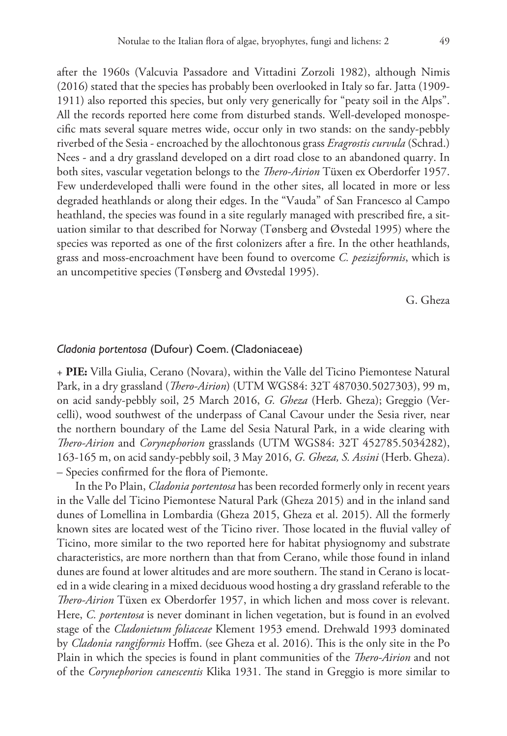after the 1960s (Valcuvia Passadore and Vittadini Zorzoli 1982), although Nimis (2016) stated that the species has probably been overlooked in Italy so far. Jatta (1909- 1911) also reported this species, but only very generically for "peaty soil in the Alps". All the records reported here come from disturbed stands. Well-developed monospecific mats several square metres wide, occur only in two stands: on the sandy-pebbly riverbed of the Sesia - encroached by the allochtonous grass *Eragrostis curvula* (Schrad.) Nees - and a dry grassland developed on a dirt road close to an abandoned quarry. In both sites, vascular vegetation belongs to the *Thero-Airion* Tüxen ex Oberdorfer 1957. Few underdeveloped thalli were found in the other sites, all located in more or less degraded heathlands or along their edges. In the "Vauda" of San Francesco al Campo heathland, the species was found in a site regularly managed with prescribed fire, a situation similar to that described for Norway (Tønsberg and Øvstedal 1995) where the species was reported as one of the first colonizers after a fire. In the other heathlands, grass and moss-encroachment have been found to overcome *C. peziziformis*, which is an uncompetitive species (Tønsberg and Øvstedal 1995).

G. Gheza

# *Cladonia portentosa* (Dufour) Coem. (Cladoniaceae)

+ **PIE:** Villa Giulia, Cerano (Novara), within the Valle del Ticino Piemontese Natural Park, in a dry grassland (*Thero-Airion*) (UTM WGS84: 32T 487030.5027303), 99 m, on acid sandy-pebbly soil, 25 March 2016, *G. Gheza* (Herb. Gheza); Greggio (Vercelli), wood southwest of the underpass of Canal Cavour under the Sesia river, near the northern boundary of the Lame del Sesia Natural Park, in a wide clearing with *Thero-Airion* and *Corynephorion* grasslands (UTM WGS84: 32T 452785.5034282), 163-165 m, on acid sandy-pebbly soil, 3 May 2016, *G. Gheza, S. Assini* (Herb. Gheza). – Species confirmed for the flora of Piemonte.

In the Po Plain, *Cladonia portentosa* has been recorded formerly only in recent years in the Valle del Ticino Piemontese Natural Park (Gheza 2015) and in the inland sand dunes of Lomellina in Lombardia (Gheza 2015, Gheza et al. 2015). All the formerly known sites are located west of the Ticino river. Those located in the fluvial valley of Ticino, more similar to the two reported here for habitat physiognomy and substrate characteristics, are more northern than that from Cerano, while those found in inland dunes are found at lower altitudes and are more southern. The stand in Cerano is located in a wide clearing in a mixed deciduous wood hosting a dry grassland referable to the *Thero-Airion* Tüxen ex Oberdorfer 1957, in which lichen and moss cover is relevant. Here, *C. portentosa* is never dominant in lichen vegetation, but is found in an evolved stage of the *Cladonietum foliaceae* Klement 1953 emend. Drehwald 1993 dominated by *Cladonia rangiformis* Hoffm. (see Gheza et al. 2016). This is the only site in the Po Plain in which the species is found in plant communities of the *Thero-Airion* and not of the *Corynephorion canescentis* Klika 1931. The stand in Greggio is more similar to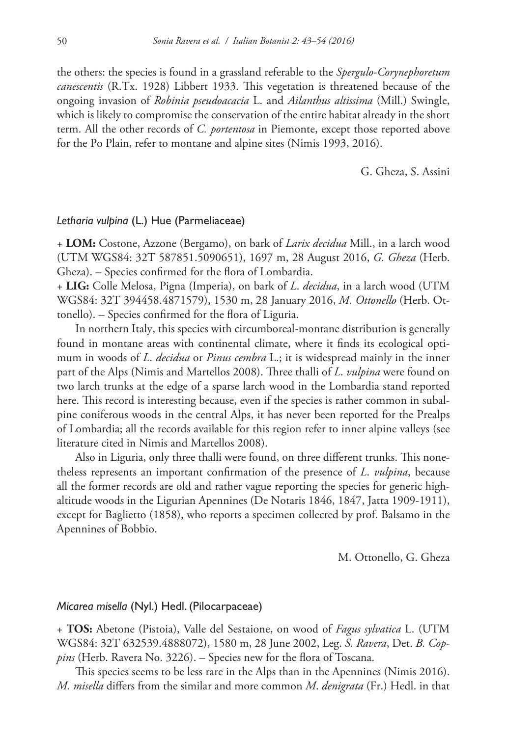the others: the species is found in a grassland referable to the *Spergulo-Corynephoretum canescentis* (R.Tx. 1928) Libbert 1933. This vegetation is threatened because of the ongoing invasion of *Robinia pseudoacacia* L. and *Ailanthus altissima* (Mill.) Swingle, which is likely to compromise the conservation of the entire habitat already in the short term. All the other records of *C. portentosa* in Piemonte, except those reported above for the Po Plain, refer to montane and alpine sites (Nimis 1993, 2016).

G. Gheza, S. Assini

#### *Letharia vulpina* (L.) Hue (Parmeliaceae)

+ **LOM:** Costone, Azzone (Bergamo), on bark of *Larix decidua* Mill., in a larch wood (UTM WGS84: 32T 587851.5090651), 1697 m, 28 August 2016, *G. Gheza* (Herb. Gheza). – Species confirmed for the flora of Lombardia.

+ **LIG:** Colle Melosa, Pigna (Imperia), on bark of *L*. *decidua*, in a larch wood (UTM WGS84: 32T 394458.4871579), 1530 m, 28 January 2016, *M. Ottonello* (Herb. Ottonello). – Species confirmed for the flora of Liguria.

In northern Italy, this species with circumboreal-montane distribution is generally found in montane areas with continental climate, where it finds its ecological optimum in woods of *L*. *decidua* or *Pinus cembra* L.; it is widespread mainly in the inner part of the Alps (Nimis and Martellos 2008). Three thalli of *L*. *vulpina* were found on two larch trunks at the edge of a sparse larch wood in the Lombardia stand reported here. This record is interesting because, even if the species is rather common in subalpine coniferous woods in the central Alps, it has never been reported for the Prealps of Lombardia; all the records available for this region refer to inner alpine valleys (see literature cited in Nimis and Martellos 2008).

Also in Liguria, only three thalli were found, on three different trunks. This nonetheless represents an important confirmation of the presence of *L*. *vulpina*, because all the former records are old and rather vague reporting the species for generic highaltitude woods in the Ligurian Apennines (De Notaris 1846, 1847, Jatta 1909-1911), except for Baglietto (1858), who reports a specimen collected by prof. Balsamo in the Apennines of Bobbio.

M. Ottonello, G. Gheza

# *Micarea misella* (Nyl.) Hedl. (Pilocarpaceae)

+ **TOS:** Abetone (Pistoia), Valle del Sestaione, on wood of *Fagus sylvatica* L. (UTM WGS84: 32T 632539.4888072), 1580 m, 28 June 2002, Leg. *S. Ravera*, Det. *B. Coppins* (Herb. Ravera No. 3226). – Species new for the flora of Toscana.

This species seems to be less rare in the Alps than in the Apennines (Nimis 2016). *M. misella* differs from the similar and more common *M*. *denigrata* (Fr.) Hedl. in that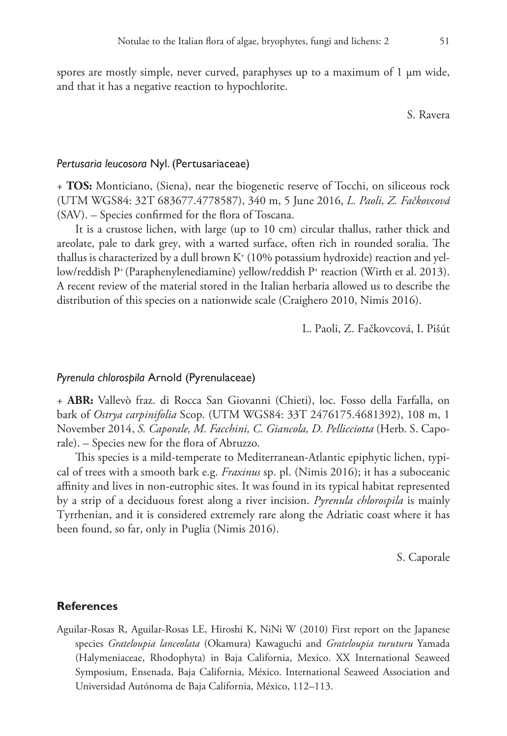spores are mostly simple, never curved, paraphyses up to a maximum of 1  $\mu$ m wide, and that it has a negative reaction to hypochlorite.

S. Ravera

#### *Pertusaria leucosora* Nyl. (Pertusariaceae)

+ **TOS:** Monticiano, (Siena), near the biogenetic reserve of Tocchi, on siliceous rock (UTM WGS84: 32T 683677.4778587), 340 m, 5 June 2016, *L. Paoli, Z. Fačkovcová*  (SAV). – Species confirmed for the flora of Toscana.

It is a crustose lichen, with large (up to 10 cm) circular thallus, rather thick and areolate, pale to dark grey, with a warted surface, often rich in rounded soralia. The thallus is characterized by a dull brown K $^{\scriptscriptstyle +}$  (10% potassium hydroxide) reaction and yellow/reddish P+ (Paraphenylenediamine) yellow/reddish P+ reaction (Wirth et al. 2013). A recent review of the material stored in the Italian herbaria allowed us to describe the distribution of this species on a nationwide scale (Craighero 2010, Nimis 2016).

L. Paoli, Z. Fačkovcová, I. Pišút

#### *Pyrenula chlorospila* Arnold (Pyrenulaceae)

+ **ABR:** Vallevò fraz. di Rocca San Giovanni (Chieti), loc. Fosso della Farfalla, on bark of *Ostrya carpinifolia* Scop. (UTM WGS84: 33T 2476175.4681392), 108 m, 1 November 2014, *S. Caporale, M. Facchini, C. Giancola, D. Pellicciotta* (Herb. S. Caporale). – Species new for the flora of Abruzzo.

This species is a mild-temperate to Mediterranean-Atlantic epiphytic lichen, typical of trees with a smooth bark e.g. *Fraxinus* sp. pl. (Nimis 2016); it has a suboceanic affinity and lives in non-eutrophic sites. It was found in its typical habitat represented by a strip of a deciduous forest along a river incision. *Pyrenula chlorospila* is mainly Tyrrhenian, and it is considered extremely rare along the Adriatic coast where it has been found, so far, only in Puglia (Nimis 2016).

S. Caporale

#### **References**

Aguilar-Rosas R, Aguilar-Rosas LE, Hiroshi K, NiNi W (2010) First report on the Japanese species *Grateloupia lanceolata* (Okamura) Kawaguchi and *Grateloupia turuturu* Yamada (Halymeniaceae, Rhodophyta) in Baja California, Mexico. XX International Seaweed Symposium, Ensenada, Baja California, México. International Seaweed Association and Universidad Autónoma de Baja California, México, 112–113.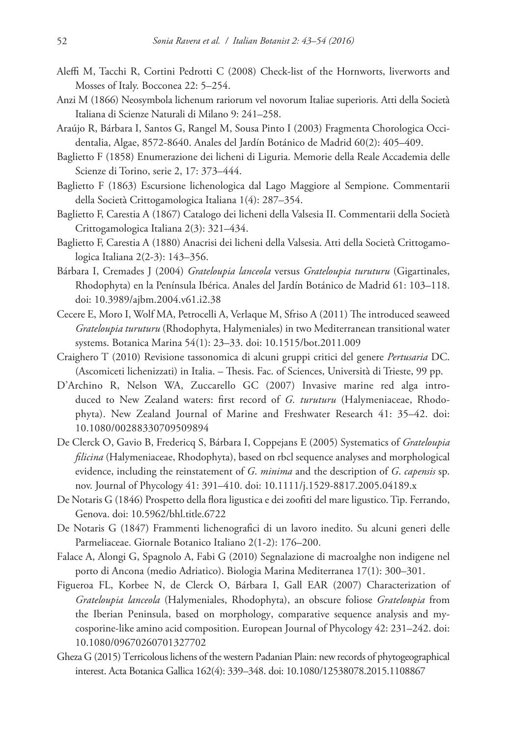- Aleffi M, Tacchi R, Cortini Pedrotti C (2008) Check-list of the Hornworts, liverworts and Mosses of Italy. Bocconea 22: 5–254.
- Anzi M (1866) Neosymbola lichenum rariorum vel novorum Italiae superioris. Atti della Società Italiana di Scienze Naturali di Milano 9: 241–258.
- Araújo R, Bárbara I, Santos G, Rangel M, Sousa Pinto I (2003) Fragmenta Chorologica Occidentalia, Algae, 8572-8640. Anales del Jardín Botánico de Madrid 60(2): 405–409.
- Baglietto F (1858) Enumerazione dei licheni di Liguria. Memorie della Reale Accademia delle Scienze di Torino, serie 2, 17: 373–444.
- Baglietto F (1863) Escursione lichenologica dal Lago Maggiore al Sempione. Commentarii della Società Crittogamologica Italiana 1(4): 287–354.
- Baglietto F, Carestia A (1867) Catalogo dei licheni della Valsesia II. Commentarii della Società Crittogamologica Italiana 2(3): 321–434.
- Baglietto F, Carestia A (1880) Anacrisi dei licheni della Valsesia. Atti della Società Crittogamologica Italiana 2(2-3): 143–356.
- Bárbara I, Cremades J (2004) *Grateloupia lanceola* versus *Grateloupia turuturu* (Gigartinales, Rhodophyta) en la Península Ibérica. Anales del Jardín Botánico de Madrid 61: 103–118. [doi: 10.3989/ajbm.2004.v61.i2.38](https://doi.org/10.3989/ajbm.2004.v61.i2.38)
- Cecere E, Moro I, Wolf MA, Petrocelli A, Verlaque M, Sfriso A (2011) The introduced seaweed *Grateloupia turuturu* (Rhodophyta, Halymeniales) in two Mediterranean transitional water systems. Botanica Marina 54(1): 23–33. [doi: 10.1515/bot.2011.009](https://doi.org/10.1515/bot.2011.009)
- Craighero T (2010) Revisione tassonomica di alcuni gruppi critici del genere *Pertusaria* DC. (Ascomiceti lichenizzati) in Italia. – Thesis. Fac. of Sciences, Università di Trieste, 99 pp.
- D'Archino R, Nelson WA, Zuccarello GC (2007) Invasive marine red alga introduced to New Zealand waters: first record of *G. turuturu* (Halymeniaceae, Rhodophyta). New Zealand Journal of Marine and Freshwater Research 41: 35–42. [doi:](https://doi.org/10.1080/00288330709509894) [10.1080/00288330709509894](https://doi.org/10.1080/00288330709509894)
- De Clerck O, Gavio B, Fredericq S, Bárbara I, Coppejans E (2005) Systematics of *Grateloupia filicina* (Halymeniaceae, Rhodophyta), based on rbcl sequence analyses and morphological evidence, including the reinstatement of *G*. *minima* and the description of *G*. *capensis* sp. nov. Journal of Phycology 41: 391–410. [doi: 10.1111/j.1529-8817.2005.04189.x](https://doi.org/10.1111/j.1529-8817.2005.04189.x)
- De Notaris G (1846) Prospetto della flora ligustica e dei zoofiti del mare ligustico. Tip. Ferrando, Genova. [doi: 10.5962/bhl.title.6722](https://doi.org/10.5962/bhl.title.6722)
- De Notaris G (1847) Frammenti lichenografici di un lavoro inedito. Su alcuni generi delle Parmeliaceae. Giornale Botanico Italiano 2(1-2): 176–200.
- Falace A, Alongi G, Spagnolo A, Fabi G (2010) Segnalazione di macroalghe non indigene nel porto di Ancona (medio Adriatico). Biologia Marina Mediterranea 17(1): 300–301.
- Figueroa FL, Korbee N, de Clerck O, Bárbara I, Gall EAR (2007) Characterization of *Grateloupia lanceola* (Halymeniales, Rhodophyta), an obscure foliose *Grateloupia* from the Iberian Peninsula, based on morphology, comparative sequence analysis and mycosporine-like amino acid composition. European Journal of Phycology 42: 231–242. [doi:](https://doi.org/10.1080/09670260701327702) [10.1080/09670260701327702](https://doi.org/10.1080/09670260701327702)
- Gheza G (2015) Terricolous lichens of the western Padanian Plain: new records of phytogeographical interest. Acta Botanica Gallica 162(4): 339–348. [doi: 10.1080/12538078.2015.1108867](https://doi.org/10.1080/12538078.2015.11%C2%AD08867)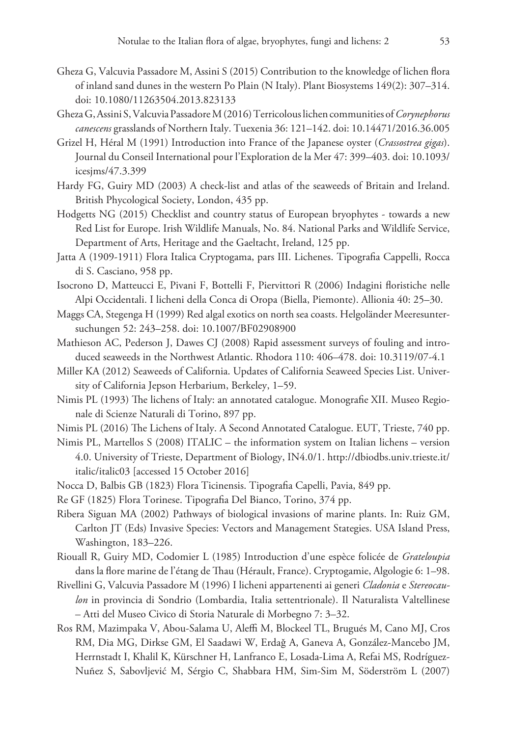- Gheza G, Valcuvia Passadore M, Assini S (2015) Contribution to the knowledge of lichen flora of inland sand dunes in the western Po Plain (N Italy). Plant Biosystems 149(2): 307–314. [doi: 10.1080/11263504.2013.823133](https://doi.org/10.1080/11263504.2013.823133)
- Gheza G, Assini S, Valcuvia Passadore M (2016) Terricolous lichen communities of *Corynephorus canescens* grasslands of Northern Italy. Tuexenia 36: 121–142. [doi: 10.14471/2016.36.005](https://doi.org/10.14471/2016.36.005)
- Grizel H, Héral M (1991) Introduction into France of the Japanese oyster (*Crassostrea gigas*). Journal du Conseil International pour l'Exploration de la Mer 47: 399–403. [doi: 10.1093/](https://doi.org/10.1093/icesjms/47.3.399) [icesjms/47.3.399](https://doi.org/10.1093/icesjms/47.3.399)
- Hardy FG, Guiry MD (2003) A check-list and atlas of the seaweeds of Britain and Ireland. British Phycological Society, London, 435 pp.
- Hodgetts NG (2015) Checklist and country status of European bryophytes towards a new Red List for Europe. Irish Wildlife Manuals, No. 84. National Parks and Wildlife Service, Department of Arts, Heritage and the Gaeltacht, Ireland, 125 pp.
- Jatta A (1909-1911) Flora Italica Cryptogama, pars III. Lichenes. Tipografia Cappelli, Rocca di S. Casciano, 958 pp.
- Isocrono D, Matteucci E, Pivani F, Bottelli F, Piervittori R (2006) Indagini floristiche nelle Alpi Occidentali. I licheni della Conca di Oropa (Biella, Piemonte). Allionia 40: 25–30.
- Maggs CA, Stegenga H (1999) Red algal exotics on north sea coasts. Helgoländer Meeresuntersuchungen 52: 243–258. [doi: 10.1007/BF02908900](https://doi.org/10.1007/BF02908900)
- Mathieson AC, Pederson J, Dawes CJ (2008) Rapid assessment surveys of fouling and introduced seaweeds in the Northwest Atlantic. Rhodora 110: 406–478. [doi: 10.3119/07-4.1](https://doi.org/10.3119/07-4.1)
- Miller KA (2012) Seaweeds of California. Updates of California Seaweed Species List. University of California Jepson Herbarium, Berkeley, 1–59.
- Nimis PL (1993) The lichens of Italy: an annotated catalogue. Monografie XII. Museo Regionale di Scienze Naturali di Torino, 897 pp.
- Nimis PL (2016) The Lichens of Italy. A Second Annotated Catalogue. EUT, Trieste, 740 pp.
- Nimis PL, Martellos S (2008) ITALIC the information system on Italian lichens version 4.0. University of Trieste, Department of Biology, IN4.0/1. [http://dbiodbs.univ.trieste.it/](http://dbiodbs.univ.trieste.it/italic/italic03) [italic/italic03](http://dbiodbs.univ.trieste.it/italic/italic03) [accessed 15 October 2016]
- Nocca D, Balbis GB (1823) Flora Ticinensis. Tipografia Capelli, Pavia, 849 pp.
- Re GF (1825) Flora Torinese. Tipografia Del Bianco, Torino, 374 pp.
- Ribera Siguan MA (2002) Pathways of biological invasions of marine plants. In: Ruiz GM, Carlton JT (Eds) Invasive Species: Vectors and Management Stategies. USA Island Press, Washington, 183–226.
- Riouall R, Guiry MD, Codomier L (1985) Introduction d'une espèce folicée de *Grateloupia* dans la flore marine de l'étang de Thau (Hérault, France). Cryptogamie, Algologie 6: 1–98.
- Rivellini G, Valcuvia Passadore M (1996) I licheni appartenenti ai generi *Cladonia* e *Stereocaulon* in provincia di Sondrio (Lombardia, Italia settentrionale). Il Naturalista Valtellinese – Atti del Museo Civico di Storia Naturale di Morbegno 7: 3–32.
- Ros RM, Mazimpaka V, Abou-Salama U, Aleffi M, Blockeel TL, Brugués M, Cano MJ, Cros RM, Dia MG, Dirkse GM, El Saadawi W, Erdaǧ A, Ganeva A, González-Mancebo JM, Herrnstadt I, Khalil K, Kürschner H, Lanfranco E, Losada-Lima A, Refai MS, Rodríguez-Nuñez S, Sabovljević M, Sérgio C, Shabbara HM, Sim-Sim M, Söderström L (2007)